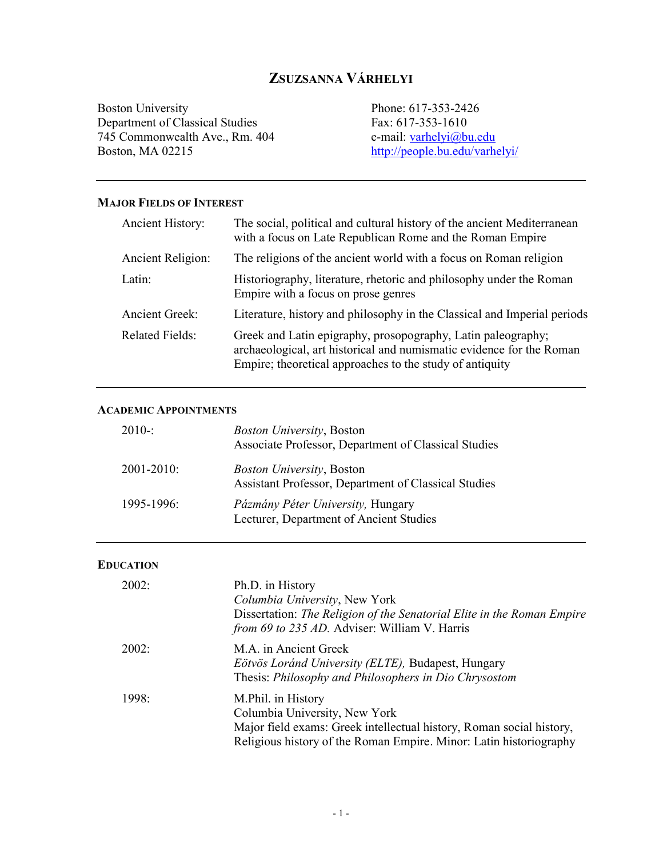# **ZSUZSANNA VÁRHELYI**

Boston University Department of Classical Studies 745 Commonwealth Ave., Rm. 404 Boston, MA 02215

Phone: 617-353-2426 Fax: 617-353-1610 e-mail: varhelyi@bu.edu http://people.bu.edu/varhelyi/

### **MAJOR FIELDS OF INTEREST**

| Ancient History:       | The social, political and cultural history of the ancient Mediterranean<br>with a focus on Late Republican Rome and the Roman Empire                                                             |
|------------------------|--------------------------------------------------------------------------------------------------------------------------------------------------------------------------------------------------|
| Ancient Religion:      | The religions of the ancient world with a focus on Roman religion                                                                                                                                |
| Latin:                 | Historiography, literature, rhetoric and philosophy under the Roman<br>Empire with a focus on prose genres                                                                                       |
| <b>Ancient Greek:</b>  | Literature, history and philosophy in the Classical and Imperial periods                                                                                                                         |
| <b>Related Fields:</b> | Greek and Latin epigraphy, prosopography, Latin paleography;<br>archaeological, art historical and numismatic evidence for the Roman<br>Empire; theoretical approaches to the study of antiquity |

#### **ACADEMIC APPOINTMENTS**

| $2010 -$        | <i>Boston University</i> , Boston<br>Associate Professor, Department of Classical Studies |
|-----------------|-------------------------------------------------------------------------------------------|
| $2001 - 2010$ : | <i>Boston University</i> , Boston<br>Assistant Professor, Department of Classical Studies |
| $1995 - 1996$   | <i>Pázmány Péter University, Hungary</i><br>Lecturer, Department of Ancient Studies       |

### **EDUCATION**

| 2002: | Ph.D. in History<br>Columbia University, New York<br>Dissertation: The Religion of the Senatorial Elite in the Roman Empire<br>from 69 to 235 AD. Adviser: William V. Harris                      |
|-------|---------------------------------------------------------------------------------------------------------------------------------------------------------------------------------------------------|
| 2002: | M.A. in Ancient Greek<br>Eötvös Loránd University (ELTE), Budapest, Hungary<br>Thesis: Philosophy and Philosophers in Dio Chrysostom                                                              |
| 1998: | M.Phil. in History<br>Columbia University, New York<br>Major field exams: Greek intellectual history, Roman social history,<br>Religious history of the Roman Empire. Minor: Latin historiography |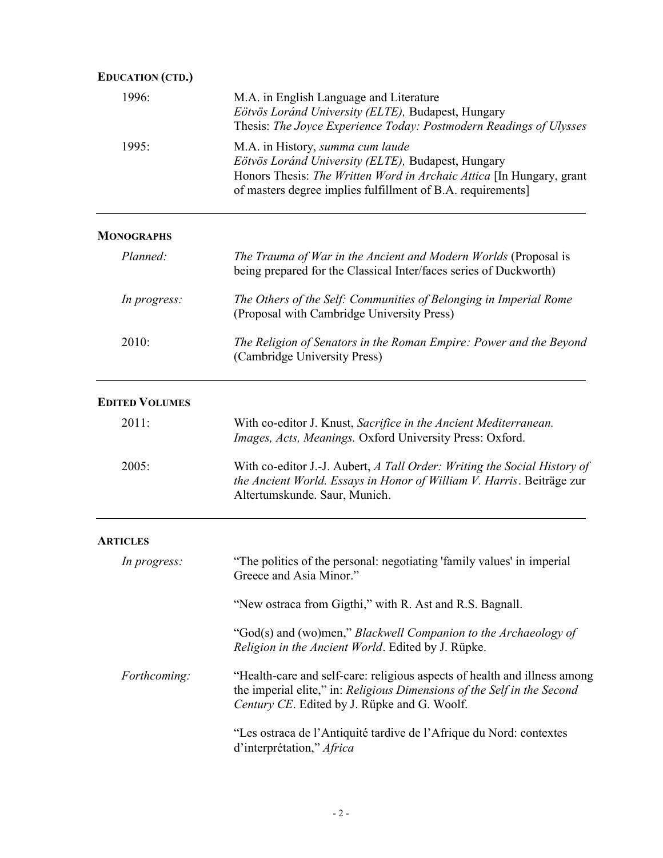| <b>EDUCATION (CTD.)</b> |                                                                                                                                                                                                                               |
|-------------------------|-------------------------------------------------------------------------------------------------------------------------------------------------------------------------------------------------------------------------------|
| 1996:                   | M.A. in English Language and Literature<br>Eötvös Loránd University (ELTE), Budapest, Hungary<br>Thesis: The Joyce Experience Today: Postmodern Readings of Ulysses                                                           |
| 1995:                   | M.A. in History, summa cum laude<br>Eötvös Loránd University (ELTE), Budapest, Hungary<br>Honors Thesis: The Written Word in Archaic Attica [In Hungary, grant<br>of masters degree implies fulfillment of B.A. requirements] |
| <b>MONOGRAPHS</b>       |                                                                                                                                                                                                                               |
| Planned:                | The Trauma of War in the Ancient and Modern Worlds (Proposal is<br>being prepared for the Classical Inter/faces series of Duckworth)                                                                                          |
| In progress:            | The Others of the Self: Communities of Belonging in Imperial Rome<br>(Proposal with Cambridge University Press)                                                                                                               |
| 2010:                   | The Religion of Senators in the Roman Empire: Power and the Beyond<br>(Cambridge University Press)                                                                                                                            |
| <b>EDITED VOLUMES</b>   |                                                                                                                                                                                                                               |
| 2011:                   | With co-editor J. Knust, Sacrifice in the Ancient Mediterranean.<br>Images, Acts, Meanings. Oxford University Press: Oxford.                                                                                                  |
| 2005:                   | With co-editor J.-J. Aubert, A Tall Order: Writing the Social History of<br>the Ancient World. Essays in Honor of William V. Harris. Beiträge zur<br>Altertumskunde. Saur, Munich.                                            |
| <b>ARTICLES</b>         |                                                                                                                                                                                                                               |
| In progress:            | "The politics of the personal: negotiating 'family values' in imperial<br>Greece and Asia Minor."                                                                                                                             |
|                         | "New ostraca from Gigthi," with R. Ast and R.S. Bagnall.                                                                                                                                                                      |
|                         | "God(s) and (wo)men," Blackwell Companion to the Archaeology of<br>Religion in the Ancient World. Edited by J. Rüpke.                                                                                                         |
| Forthcoming:            | "Health-care and self-care: religious aspects of health and illness among<br>the imperial elite," in: Religious Dimensions of the Self in the Second<br>Century CE. Edited by J. Rüpke and G. Woolf.                          |
|                         | "Les ostraca de l'Antiquité tardive de l'Afrique du Nord: contextes<br>d'interprétation," Africa                                                                                                                              |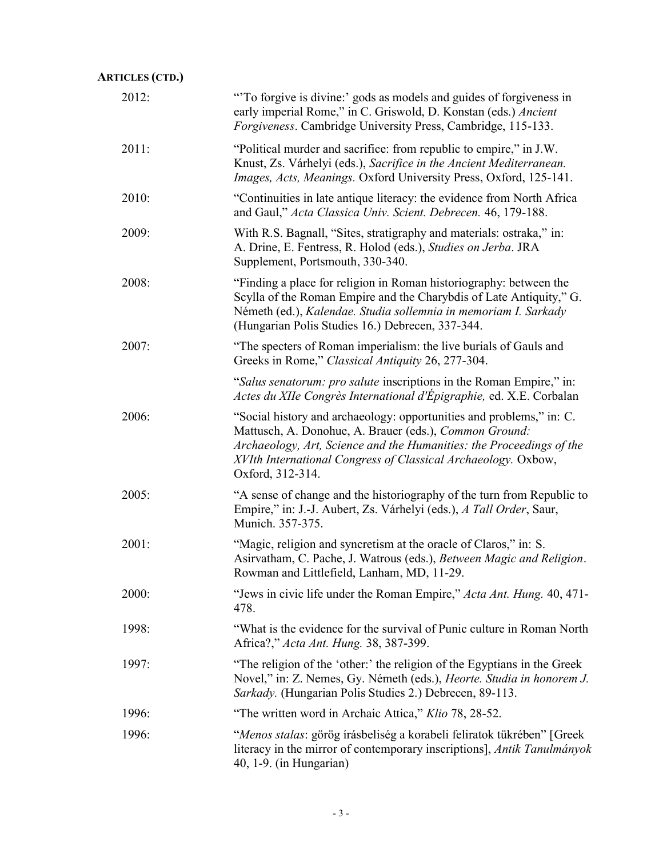| <b>ARTICLES (CTD.)</b> |                                                                                                                                                                                                                                                                                             |
|------------------------|---------------------------------------------------------------------------------------------------------------------------------------------------------------------------------------------------------------------------------------------------------------------------------------------|
| 2012:                  | "To forgive is divine:' gods as models and guides of forgiveness in<br>early imperial Rome," in C. Griswold, D. Konstan (eds.) Ancient<br>Forgiveness. Cambridge University Press, Cambridge, 115-133.                                                                                      |
| 2011:                  | "Political murder and sacrifice: from republic to empire," in J.W.<br>Knust, Zs. Várhelyi (eds.), Sacrifice in the Ancient Mediterranean.<br>Images, Acts, Meanings. Oxford University Press, Oxford, 125-141.                                                                              |
| 2010:                  | "Continuities in late antique literacy: the evidence from North Africa<br>and Gaul," Acta Classica Univ. Scient. Debrecen. 46, 179-188.                                                                                                                                                     |
| 2009:                  | With R.S. Bagnall, "Sites, stratigraphy and materials: ostraka," in:<br>A. Drine, E. Fentress, R. Holod (eds.), Studies on Jerba. JRA<br>Supplement, Portsmouth, 330-340.                                                                                                                   |
| 2008:                  | "Finding a place for religion in Roman historiography: between the<br>Scylla of the Roman Empire and the Charybdis of Late Antiquity," G.<br>Németh (ed.), Kalendae. Studia sollemnia in memoriam I. Sarkady<br>(Hungarian Polis Studies 16.) Debrecen, 337-344.                            |
| 2007:                  | "The specters of Roman imperialism: the live burials of Gauls and<br>Greeks in Rome," Classical Antiquity 26, 277-304.                                                                                                                                                                      |
|                        | "Salus senatorum: pro salute inscriptions in the Roman Empire," in:<br>Actes du XIIe Congrès International d'Épigraphie, ed. X.E. Corbalan                                                                                                                                                  |
| 2006:                  | "Social history and archaeology: opportunities and problems," in: C.<br>Mattusch, A. Donohue, A. Brauer (eds.), Common Ground:<br>Archaeology, Art, Science and the Humanities: the Proceedings of the<br>XVIth International Congress of Classical Archaeology. Oxbow,<br>Oxford, 312-314. |
| 2005:                  | "A sense of change and the historiography of the turn from Republic to<br>Empire," in: J.-J. Aubert, Zs. Várhelyi (eds.), A Tall Order, Saur,<br>Munich. 357-375.                                                                                                                           |
| 2001:                  | "Magic, religion and syncretism at the oracle of Claros," in: S.<br>Asirvatham, C. Pache, J. Watrous (eds.), Between Magic and Religion.<br>Rowman and Littlefield, Lanham, MD, 11-29.                                                                                                      |
| 2000:                  | "Jews in civic life under the Roman Empire," Acta Ant. Hung. 40, 471-<br>478.                                                                                                                                                                                                               |
| 1998:                  | "What is the evidence for the survival of Punic culture in Roman North<br>Africa?," Acta Ant. Hung. 38, 387-399.                                                                                                                                                                            |
| 1997:                  | "The religion of the 'other:' the religion of the Egyptians in the Greek<br>Novel," in: Z. Nemes, Gy. Németh (eds.), Heorte. Studia in honorem J.<br>Sarkady. (Hungarian Polis Studies 2.) Debrecen, 89-113.                                                                                |
| 1996:                  | "The written word in Archaic Attica," Klio 78, 28-52.                                                                                                                                                                                                                                       |
| 1996:                  | "Menos stalas: görög írásbeliség a korabeli feliratok tükrében" [Greek<br>literacy in the mirror of contemporary inscriptions], Antik Tanulmányok<br>40, 1-9. (in Hungarian)                                                                                                                |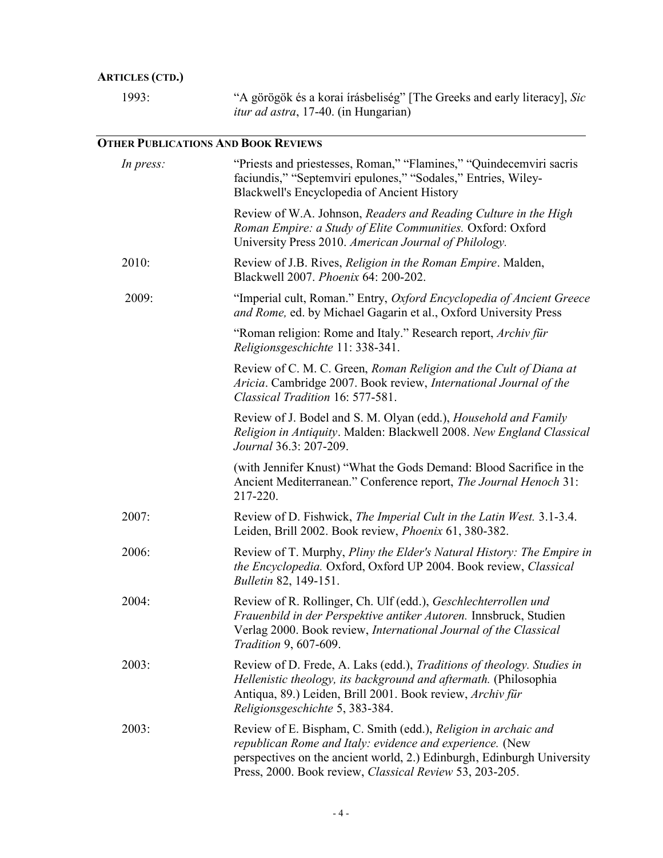# **ARTICLES (CTD.)**

| 1993: | "A görögök és a korai írásbeliség" [The Greeks and early literacy], Sic |
|-------|-------------------------------------------------------------------------|
|       | <i>itur ad astra</i> , 17-40. (in Hungarian)                            |

# **OTHER PUBLICATIONS AND BOOK REVIEWS**

| In press: | "Priests and priestesses, Roman," "Flamines," "Quindecemviri sacris<br>faciundis," "Septemviri epulones," "Sodales," Entries, Wiley-<br>Blackwell's Encyclopedia of Ancient History                                                                             |
|-----------|-----------------------------------------------------------------------------------------------------------------------------------------------------------------------------------------------------------------------------------------------------------------|
|           | Review of W.A. Johnson, Readers and Reading Culture in the High<br>Roman Empire: a Study of Elite Communities. Oxford: Oxford<br>University Press 2010. American Journal of Philology.                                                                          |
| 2010:     | Review of J.B. Rives, <i>Religion in the Roman Empire</i> . Malden,<br>Blackwell 2007. Phoenix 64: 200-202.                                                                                                                                                     |
| 2009:     | "Imperial cult, Roman." Entry, Oxford Encyclopedia of Ancient Greece<br>and Rome, ed. by Michael Gagarin et al., Oxford University Press                                                                                                                        |
|           | "Roman religion: Rome and Italy." Research report, Archiv für<br>Religionsgeschichte 11: 338-341.                                                                                                                                                               |
|           | Review of C. M. C. Green, Roman Religion and the Cult of Diana at<br>Aricia. Cambridge 2007. Book review, International Journal of the<br>Classical Tradition 16: 577-581.                                                                                      |
|           | Review of J. Bodel and S. M. Olyan (edd.), Household and Family<br>Religion in Antiquity. Malden: Blackwell 2008. New England Classical<br>Journal 36.3: 207-209.                                                                                               |
|           | (with Jennifer Knust) "What the Gods Demand: Blood Sacrifice in the<br>Ancient Mediterranean." Conference report, The Journal Henoch 31:<br>217-220.                                                                                                            |
| 2007:     | Review of D. Fishwick, The Imperial Cult in the Latin West. 3.1-3.4.<br>Leiden, Brill 2002. Book review, Phoenix 61, 380-382.                                                                                                                                   |
| 2006:     | Review of T. Murphy, Pliny the Elder's Natural History: The Empire in<br>the Encyclopedia. Oxford, Oxford UP 2004. Book review, Classical<br><b>Bulletin 82, 149-151.</b>                                                                                       |
| 2004:     | Review of R. Rollinger, Ch. Ulf (edd.), Geschlechterrollen und<br>Frauenbild in der Perspektive antiker Autoren. Innsbruck, Studien<br>Verlag 2000. Book review, International Journal of the Classical<br><i>Tradition</i> 9, 607-609.                         |
| 2003:     | Review of D. Frede, A. Laks (edd.), Traditions of theology. Studies in<br>Hellenistic theology, its background and aftermath. (Philosophia<br>Antiqua, 89.) Leiden, Brill 2001. Book review, Archiv für<br>Religionsgeschichte 5, 383-384.                      |
| 2003:     | Review of E. Bispham, C. Smith (edd.), Religion in archaic and<br>republican Rome and Italy: evidence and experience. (New<br>perspectives on the ancient world, 2.) Edinburgh, Edinburgh University<br>Press, 2000. Book review, Classical Review 53, 203-205. |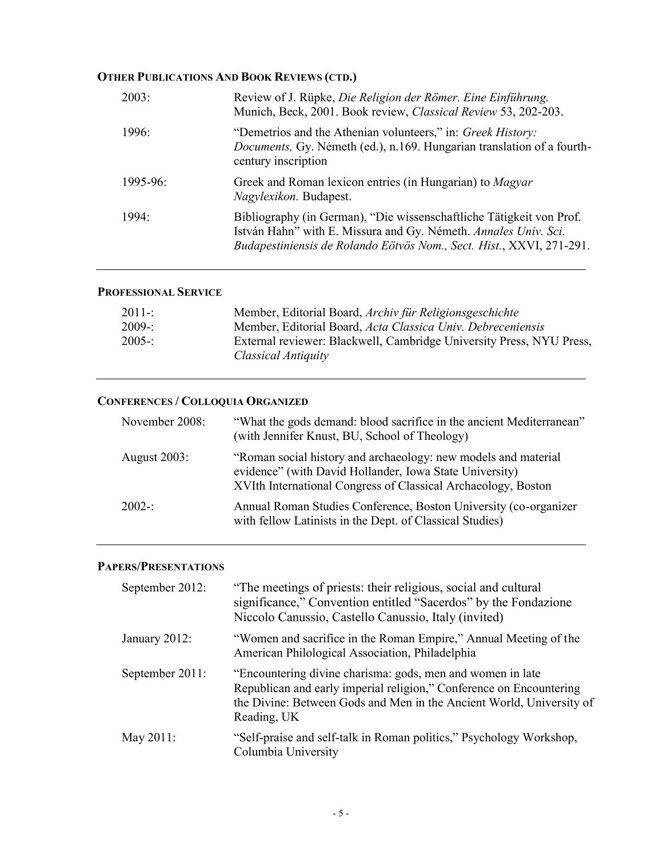## **OTHER PUBLICATIONS AND BOOK REVIEWS (CTD.)**

| 2003:         | Review of J. Rüpke, Die Religion der Römer. Eine Einführung.<br>Munich, Beck, 2001. Book review, Classical Review 53, 202-203.                                                                                  |
|---------------|-----------------------------------------------------------------------------------------------------------------------------------------------------------------------------------------------------------------|
| 1996:         | "Demetrios and the Athenian volunteers," in: Greek History:<br><i>Documents</i> , Gy. Németh (ed.), n.169. Hungarian translation of a fourth-<br>century inscription                                            |
| $1995 - 96$ : | Greek and Roman lexicon entries (in Hungarian) to <i>Magyar</i><br>Nagylexikon. Budapest.                                                                                                                       |
| 1994:         | Bibliography (in German), "Die wissenschaftliche Tätigkeit von Prof.<br>István Hahn" with E. Missura and Gy. Németh. Annales Univ. Sci.<br>Budapestiniensis de Rolando Eötvös Nom., Sect. Hist., XXVI, 271-291. |

### **PROFESSIONAL SERVICE**

| Member, Editorial Board, Archiv für Religionsgeschichte                                     |
|---------------------------------------------------------------------------------------------|
| Member, Editorial Board, Acta Classica Univ. Debreceniensis                                 |
| External reviewer: Blackwell, Cambridge University Press, NYU Press,<br>Classical Antiquity |
|                                                                                             |

## **CONFERENCES / COLLOQUIA ORGANIZED**

| November 2008:      | "What the gods demand: blood sacrifice in the ancient Mediterranean"<br>(with Jennifer Knust, BU, School of Theology)                                                                      |
|---------------------|--------------------------------------------------------------------------------------------------------------------------------------------------------------------------------------------|
| <b>August 2003:</b> | "Roman social history and archaeology: new models and material<br>evidence" (with David Hollander, Iowa State University)<br>XVIth International Congress of Classical Archaeology, Boston |
| $2002 -$            | Annual Roman Studies Conference, Boston University (co-organizer<br>with fellow Latinists in the Dept. of Classical Studies)                                                               |

## **PAPERS/PRESENTATIONS**

| September 2012: | "The meetings of priests: their religious, social and cultural<br>significance," Convention entitled "Sacerdos" by the Fondazione<br>Niccolo Canussio, Castello Canussio, Italy (invited)                                |
|-----------------|--------------------------------------------------------------------------------------------------------------------------------------------------------------------------------------------------------------------------|
| January 2012:   | "Women and sacrifice in the Roman Empire," Annual Meeting of the<br>American Philological Association, Philadelphia                                                                                                      |
| September 2011: | "Encountering divine charisma: gods, men and women in late<br>Republican and early imperial religion," Conference on Encountering<br>the Divine: Between Gods and Men in the Ancient World, University of<br>Reading, UK |
| May $2011$ :    | "Self-praise and self-talk in Roman politics," Psychology Workshop,<br>Columbia University                                                                                                                               |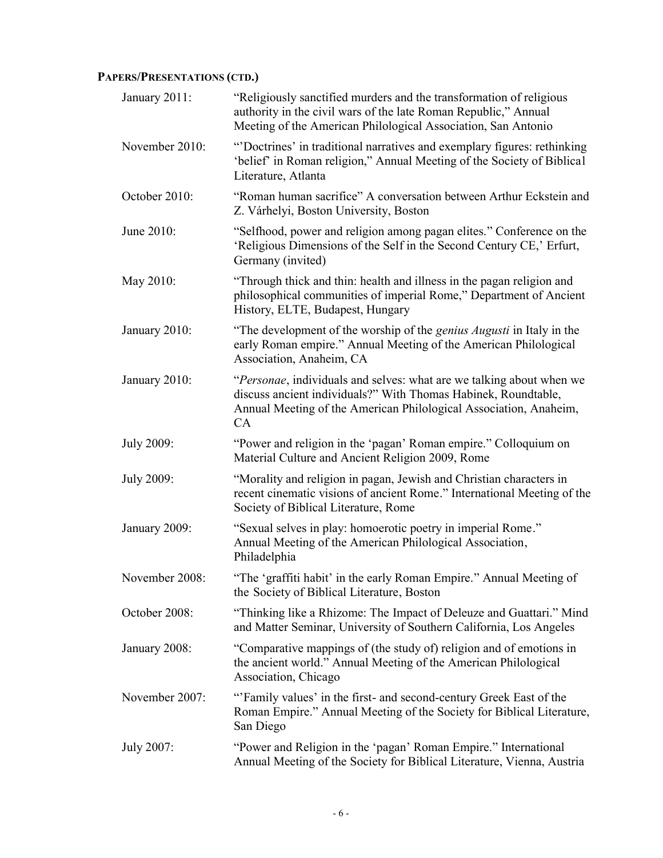# **PAPERS/PRESENTATIONS (CTD.)**

| January 2011:     | "Religiously sanctified murders and the transformation of religious<br>authority in the civil wars of the late Roman Republic," Annual<br>Meeting of the American Philological Association, San Antonio           |
|-------------------|-------------------------------------------------------------------------------------------------------------------------------------------------------------------------------------------------------------------|
| November 2010:    | "Doctrines' in traditional narratives and exemplary figures: rethinking<br>'belief' in Roman religion," Annual Meeting of the Society of Biblical<br>Literature, Atlanta                                          |
| October 2010:     | "Roman human sacrifice" A conversation between Arthur Eckstein and<br>Z. Várhelyi, Boston University, Boston                                                                                                      |
| June 2010:        | "Selfhood, power and religion among pagan elites." Conference on the<br>'Religious Dimensions of the Self in the Second Century CE,' Erfurt,<br>Germany (invited)                                                 |
| May 2010:         | "Through thick and thin: health and illness in the pagan religion and<br>philosophical communities of imperial Rome," Department of Ancient<br>History, ELTE, Budapest, Hungary                                   |
| January 2010:     | "The development of the worship of the <i>genius Augusti</i> in Italy in the<br>early Roman empire." Annual Meeting of the American Philological<br>Association, Anaheim, CA                                      |
| January 2010:     | "Personae, individuals and selves: what are we talking about when we<br>discuss ancient individuals?" With Thomas Habinek, Roundtable,<br>Annual Meeting of the American Philological Association, Anaheim,<br>CA |
| July 2009:        | "Power and religion in the 'pagan' Roman empire." Colloquium on<br>Material Culture and Ancient Religion 2009, Rome                                                                                               |
| <b>July 2009:</b> | "Morality and religion in pagan, Jewish and Christian characters in<br>recent cinematic visions of ancient Rome." International Meeting of the<br>Society of Biblical Literature, Rome                            |
| January 2009:     | "Sexual selves in play: homoerotic poetry in imperial Rome."<br>Annual Meeting of the American Philological Association,<br>Philadelphia                                                                          |
| November 2008:    | "The 'graffiti habit' in the early Roman Empire." Annual Meeting of<br>the Society of Biblical Literature, Boston                                                                                                 |
| October 2008:     | "Thinking like a Rhizome: The Impact of Deleuze and Guattari." Mind<br>and Matter Seminar, University of Southern California, Los Angeles                                                                         |
| January 2008:     | "Comparative mappings of (the study of) religion and of emotions in<br>the ancient world." Annual Meeting of the American Philological<br>Association, Chicago                                                    |
| November 2007:    | "Family values' in the first- and second-century Greek East of the<br>Roman Empire." Annual Meeting of the Society for Biblical Literature,<br>San Diego                                                          |
| July 2007:        | "Power and Religion in the 'pagan' Roman Empire." International<br>Annual Meeting of the Society for Biblical Literature, Vienna, Austria                                                                         |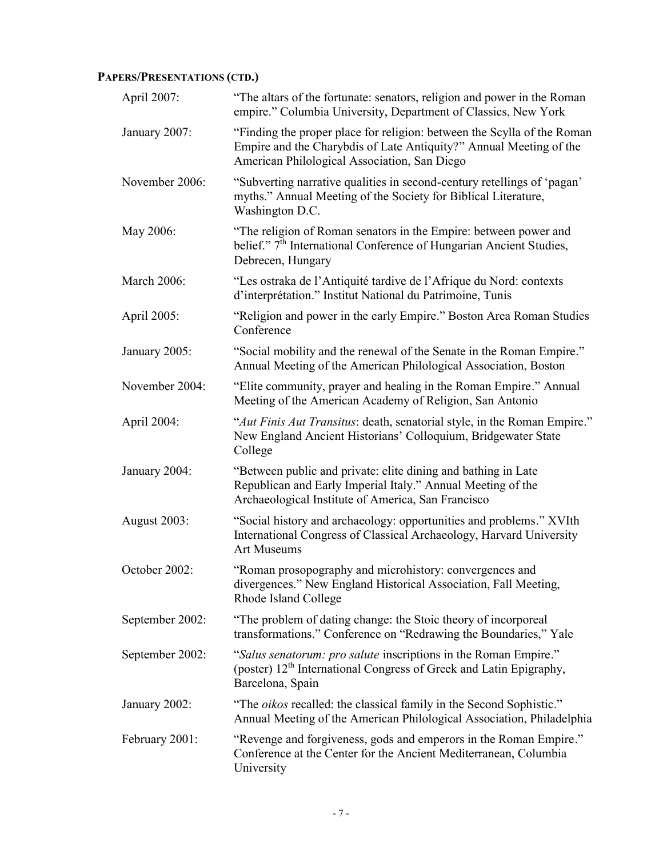# **PAPERS/PRESENTATIONS (CTD.)**

| April 2007:     | "The altars of the fortunate: senators, religion and power in the Roman<br>empire." Columbia University, Department of Classics, New York                                                     |
|-----------------|-----------------------------------------------------------------------------------------------------------------------------------------------------------------------------------------------|
| January 2007:   | "Finding the proper place for religion: between the Scylla of the Roman<br>Empire and the Charybdis of Late Antiquity?" Annual Meeting of the<br>American Philological Association, San Diego |
| November 2006:  | "Subverting narrative qualities in second-century retellings of 'pagan'<br>myths." Annual Meeting of the Society for Biblical Literature,<br>Washington D.C.                                  |
| May 2006:       | "The religion of Roman senators in the Empire: between power and<br>belief." 7 <sup>th</sup> International Conference of Hungarian Ancient Studies,<br>Debrecen, Hungary                      |
| March 2006:     | "Les ostraka de l'Antiquité tardive de l'Afrique du Nord: contexts<br>d'interprétation." Institut National du Patrimoine, Tunis                                                               |
| April 2005:     | "Religion and power in the early Empire." Boston Area Roman Studies<br>Conference                                                                                                             |
| January 2005:   | "Social mobility and the renewal of the Senate in the Roman Empire."<br>Annual Meeting of the American Philological Association, Boston                                                       |
| November 2004:  | "Elite community, prayer and healing in the Roman Empire." Annual<br>Meeting of the American Academy of Religion, San Antonio                                                                 |
| April 2004:     | "Aut Finis Aut Transitus: death, senatorial style, in the Roman Empire."<br>New England Ancient Historians' Colloquium, Bridgewater State<br>College                                          |
| January 2004:   | "Between public and private: elite dining and bathing in Late<br>Republican and Early Imperial Italy." Annual Meeting of the<br>Archaeological Institute of America, San Francisco            |
| August 2003:    | "Social history and archaeology: opportunities and problems." XVIth<br>International Congress of Classical Archaeology, Harvard University<br><b>Art Museums</b>                              |
| October 2002:   | "Roman prosopography and microhistory: convergences and<br>divergences." New England Historical Association, Fall Meeting,<br>Rhode Island College                                            |
| September 2002: | "The problem of dating change: the Stoic theory of incorporeal<br>transformations." Conference on "Redrawing the Boundaries," Yale                                                            |
| September 2002: | "Salus senatorum: pro salute inscriptions in the Roman Empire."<br>(poster) 12 <sup>th</sup> International Congress of Greek and Latin Epigraphy,<br>Barcelona, Spain                         |
| January 2002:   | "The oikos recalled: the classical family in the Second Sophistic."<br>Annual Meeting of the American Philological Association, Philadelphia                                                  |
| February 2001:  | "Revenge and forgiveness, gods and emperors in the Roman Empire."<br>Conference at the Center for the Ancient Mediterranean, Columbia<br>University                                           |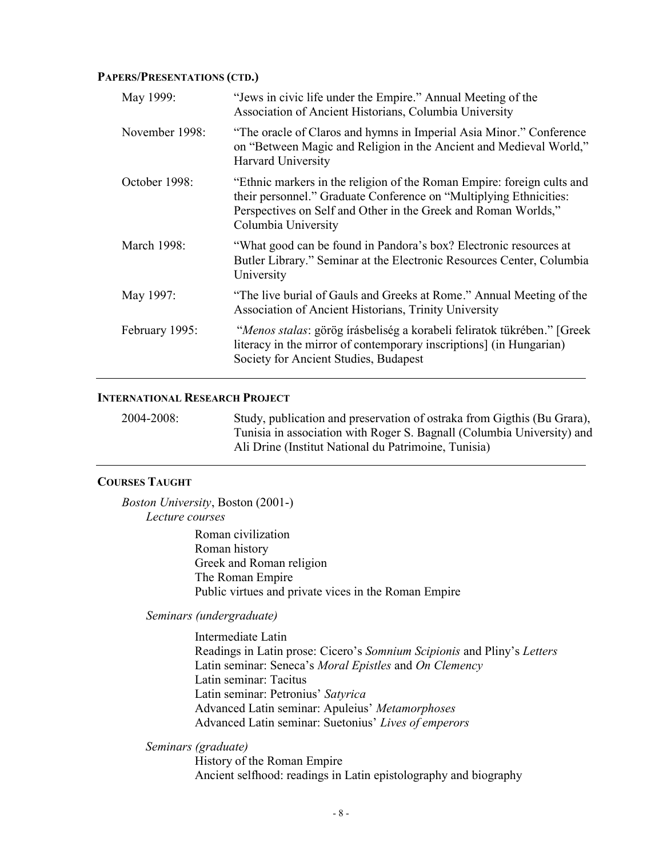#### **PAPERS/PRESENTATIONS (CTD.)**

| May 1999:      | "Jews in civic life under the Empire." Annual Meeting of the<br>Association of Ancient Historians, Columbia University                                                                                                                |
|----------------|---------------------------------------------------------------------------------------------------------------------------------------------------------------------------------------------------------------------------------------|
| November 1998: | "The oracle of Claros and hymns in Imperial Asia Minor." Conference<br>on "Between Magic and Religion in the Ancient and Medieval World,"<br><b>Harvard University</b>                                                                |
| October 1998:  | "Ethnic markers in the religion of the Roman Empire: foreign cults and<br>their personnel." Graduate Conference on "Multiplying Ethnicities:<br>Perspectives on Self and Other in the Greek and Roman Worlds,"<br>Columbia University |
| March 1998:    | "What good can be found in Pandora's box? Electronic resources at<br>Butler Library." Seminar at the Electronic Resources Center, Columbia<br>University                                                                              |
| May 1997:      | "The live burial of Gauls and Greeks at Rome." Annual Meeting of the<br>Association of Ancient Historians, Trinity University                                                                                                         |
| February 1995: | "Menos stalas: görög írásbeliség a korabeli feliratok tükrében." [Greek]<br>literacy in the mirror of contemporary inscriptions] (in Hungarian)<br>Society for Ancient Studies, Budapest                                              |

#### **INTERNATIONAL RESEARCH PROJECT**

2004-2008: Study, publication and preservation of ostraka from Gigthis (Bu Grara), Tunisia in association with Roger S. Bagnall (Columbia University) and Ali Drine (Institut National du Patrimoine, Tunisia)

#### **COURSES TAUGHT**

*Boston University*, Boston (2001-) *Lecture courses* Roman civilization Roman history Greek and Roman religion The Roman Empire Public virtues and private vices in the Roman Empire

*Seminars (undergraduate)*

Intermediate Latin Readings in Latin prose: Cicero's *Somnium Scipionis* and Pliny's *Letters* Latin seminar: Seneca's *Moral Epistles* and *On Clemency* Latin seminar: Tacitus Latin seminar: Petronius' *Satyrica* Advanced Latin seminar: Apuleius' *Metamorphoses* Advanced Latin seminar: Suetonius' *Lives of emperors*

*Seminars (graduate)*

History of the Roman Empire Ancient selfhood: readings in Latin epistolography and biography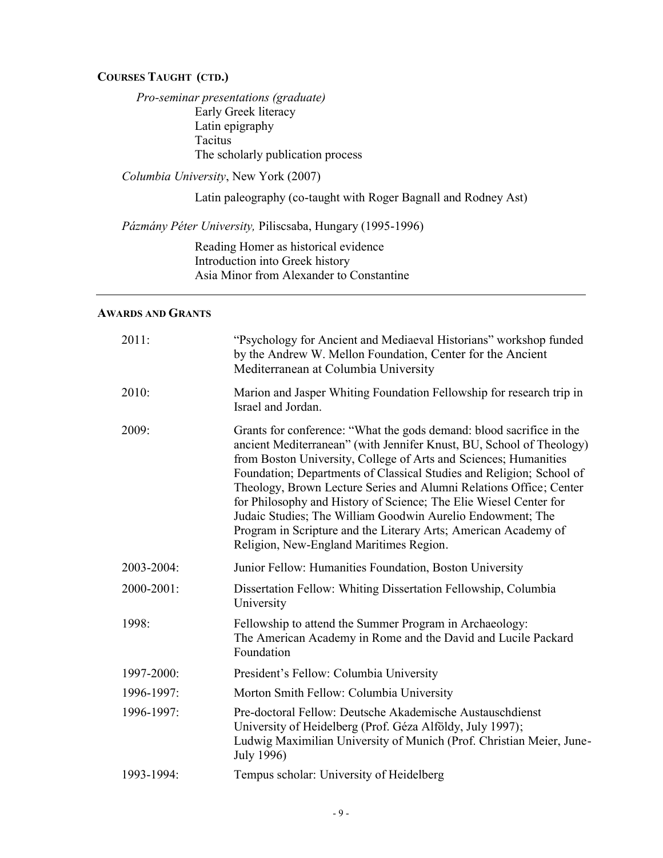### **COURSES TAUGHT (CTD.)**

*Pro-seminar presentations (graduate)* Early Greek literacy Latin epigraphy Tacitus The scholarly publication process

*Columbia University*, New York (2007)

Latin paleography (co-taught with Roger Bagnall and Rodney Ast)

*Pázmány Péter University,* Piliscsaba, Hungary (1995-1996)

Reading Homer as historical evidence Introduction into Greek history Asia Minor from Alexander to Constantine

### **AWARDS AND GRANTS**

| 2011:      | "Psychology for Ancient and Mediaeval Historians" workshop funded<br>by the Andrew W. Mellon Foundation, Center for the Ancient<br>Mediterranean at Columbia University                                                                                                                                                                                                                                                                                                                                                                                                                                         |  |
|------------|-----------------------------------------------------------------------------------------------------------------------------------------------------------------------------------------------------------------------------------------------------------------------------------------------------------------------------------------------------------------------------------------------------------------------------------------------------------------------------------------------------------------------------------------------------------------------------------------------------------------|--|
| 2010:      | Marion and Jasper Whiting Foundation Fellowship for research trip in<br>Israel and Jordan.                                                                                                                                                                                                                                                                                                                                                                                                                                                                                                                      |  |
| 2009:      | Grants for conference: "What the gods demand: blood sacrifice in the<br>ancient Mediterranean" (with Jennifer Knust, BU, School of Theology)<br>from Boston University, College of Arts and Sciences; Humanities<br>Foundation; Departments of Classical Studies and Religion; School of<br>Theology, Brown Lecture Series and Alumni Relations Office; Center<br>for Philosophy and History of Science; The Elie Wiesel Center for<br>Judaic Studies; The William Goodwin Aurelio Endowment; The<br>Program in Scripture and the Literary Arts; American Academy of<br>Religion, New-England Maritimes Region. |  |
| 2003-2004: | Junior Fellow: Humanities Foundation, Boston University                                                                                                                                                                                                                                                                                                                                                                                                                                                                                                                                                         |  |
| 2000-2001: | Dissertation Fellow: Whiting Dissertation Fellowship, Columbia<br>University                                                                                                                                                                                                                                                                                                                                                                                                                                                                                                                                    |  |
| 1998:      | Fellowship to attend the Summer Program in Archaeology:<br>The American Academy in Rome and the David and Lucile Packard<br>Foundation                                                                                                                                                                                                                                                                                                                                                                                                                                                                          |  |
| 1997-2000: | President's Fellow: Columbia University                                                                                                                                                                                                                                                                                                                                                                                                                                                                                                                                                                         |  |
| 1996-1997: | Morton Smith Fellow: Columbia University                                                                                                                                                                                                                                                                                                                                                                                                                                                                                                                                                                        |  |
| 1996-1997: | Pre-doctoral Fellow: Deutsche Akademische Austauschdienst<br>University of Heidelberg (Prof. Géza Alföldy, July 1997);<br>Ludwig Maximilian University of Munich (Prof. Christian Meier, June-<br>July 1996)                                                                                                                                                                                                                                                                                                                                                                                                    |  |
| 1993-1994: | Tempus scholar: University of Heidelberg                                                                                                                                                                                                                                                                                                                                                                                                                                                                                                                                                                        |  |